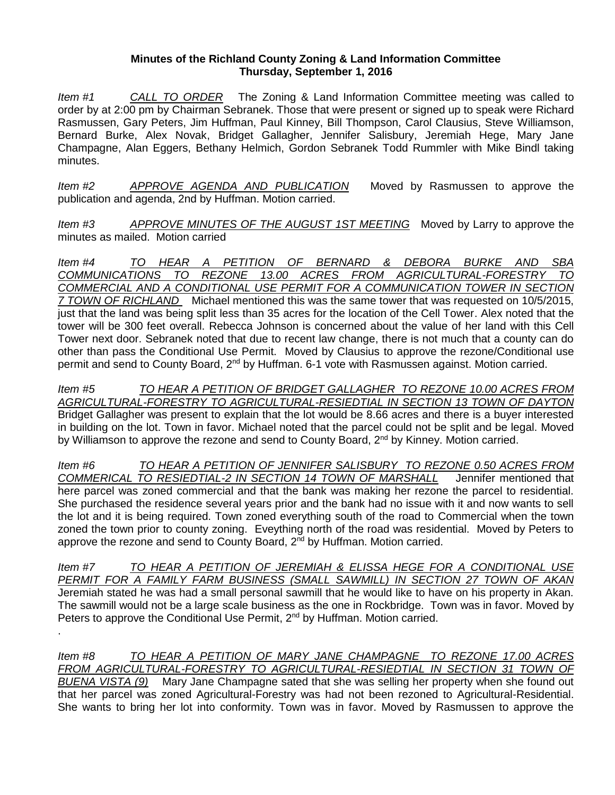## **Minutes of the Richland County Zoning & Land Information Committee Thursday, September 1, 2016**

*Item #1 CALL TO ORDER* The Zoning & Land Information Committee meeting was called to order by at 2:00 pm by Chairman Sebranek. Those that were present or signed up to speak were Richard Rasmussen, Gary Peters, Jim Huffman, Paul Kinney, Bill Thompson, Carol Clausius, Steve Williamson, Bernard Burke, Alex Novak, Bridget Gallagher, Jennifer Salisbury, Jeremiah Hege, Mary Jane Champagne, Alan Eggers, Bethany Helmich, Gordon Sebranek Todd Rummler with Mike Bindl taking minutes.

*Item #2 APPROVE AGENDA AND PUBLICATION* Moved by Rasmussen to approve the publication and agenda, 2nd by Huffman. Motion carried.

*Item #3 APPROVE MINUTES OF THE AUGUST 1ST MEETING* Moved by Larry to approve the minutes as mailed. Motion carried

*Item #4 TO HEAR A PETITION OF BERNARD & DEBORA BURKE AND SBA COMMUNICATIONS TO REZONE 13.00 ACRES FROM AGRICULTURAL-FORESTRY TO COMMERCIAL AND A CONDITIONAL USE PERMIT FOR A COMMUNICATION TOWER IN SECTION 7 TOWN OF RICHLAND* Michael mentioned this was the same tower that was requested on 10/5/2015, just that the land was being split less than 35 acres for the location of the Cell Tower. Alex noted that the tower will be 300 feet overall. Rebecca Johnson is concerned about the value of her land with this Cell Tower next door. Sebranek noted that due to recent law change, there is not much that a county can do other than pass the Conditional Use Permit. Moved by Clausius to approve the rezone/Conditional use permit and send to County Board, 2<sup>nd</sup> by Huffman. 6-1 vote with Rasmussen against. Motion carried.

*Item #5 TO HEAR A PETITION OF BRIDGET GALLAGHER TO REZONE 10.00 ACRES FROM AGRICULTURAL-FORESTRY TO AGRICULTURAL-RESIEDTIAL IN SECTION 13 TOWN OF DAYTON* Bridget Gallagher was present to explain that the lot would be 8.66 acres and there is a buyer interested in building on the lot. Town in favor. Michael noted that the parcel could not be split and be legal. Moved by Williamson to approve the rezone and send to County Board,  $2<sup>nd</sup>$  by Kinney. Motion carried.

*Item #6 TO HEAR A PETITION OF JENNIFER SALISBURY TO REZONE 0.50 ACRES FROM COMMERICAL TO RESIEDTIAL-2 IN SECTION 14 TOWN OF MARSHALL* Jennifer mentioned that here parcel was zoned commercial and that the bank was making her rezone the parcel to residential. She purchased the residence several years prior and the bank had no issue with it and now wants to sell the lot and it is being required. Town zoned everything south of the road to Commercial when the town zoned the town prior to county zoning. Eveything north of the road was residential. Moved by Peters to approve the rezone and send to County Board, 2<sup>nd</sup> by Huffman. Motion carried.

*Item #7 TO HEAR A PETITION OF JEREMIAH & ELISSA HEGE FOR A CONDITIONAL USE PERMIT FOR A FAMILY FARM BUSINESS (SMALL SAWMILL) IN SECTION 27 TOWN OF AKAN* Jeremiah stated he was had a small personal sawmill that he would like to have on his property in Akan. The sawmill would not be a large scale business as the one in Rockbridge. Town was in favor. Moved by Peters to approve the Conditional Use Permit,  $2<sup>nd</sup>$  by Huffman. Motion carried.

.

*Item #8 TO HEAR A PETITION OF MARY JANE CHAMPAGNE TO REZONE 17.00 ACRES FROM AGRICULTURAL-FORESTRY TO AGRICULTURAL-RESIEDTIAL IN SECTION 31 TOWN OF BUENA VISTA (9)* Mary Jane Champagne sated that she was selling her property when she found out that her parcel was zoned Agricultural-Forestry was had not been rezoned to Agricultural-Residential. She wants to bring her lot into conformity. Town was in favor. Moved by Rasmussen to approve the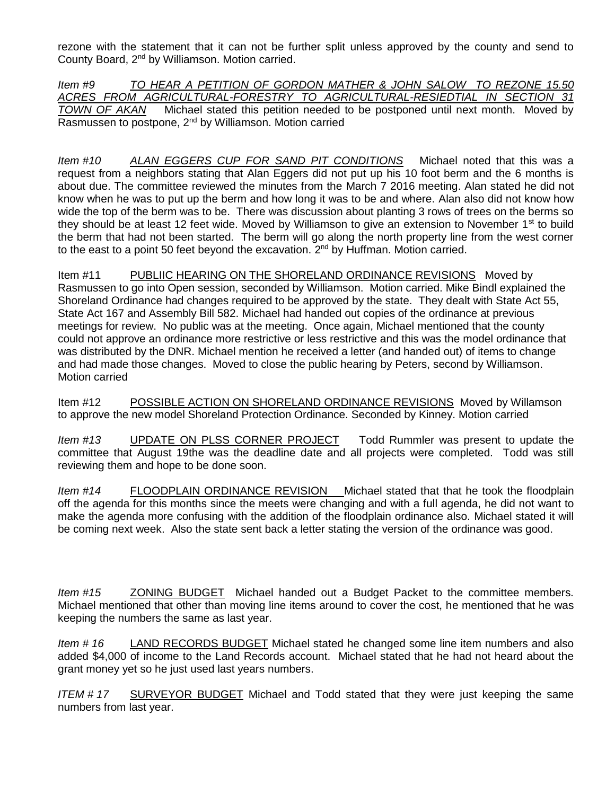rezone with the statement that it can not be further split unless approved by the county and send to County Board, 2nd by Williamson. Motion carried.

*Item #9 TO HEAR A PETITION OF GORDON MATHER & JOHN SALOW TO REZONE 15.50 ACRES FROM AGRICULTURAL-FORESTRY TO AGRICULTURAL-RESIEDTIAL IN SECTION 31 TOWN OF AKAN* Michael stated this petition needed to be postponed until next month. Moved by Rasmussen to postpone, 2<sup>nd</sup> by Williamson. Motion carried

*Item #10 ALAN EGGERS CUP FOR SAND PIT CONDITIONS* Michael noted that this was a request from a neighbors stating that Alan Eggers did not put up his 10 foot berm and the 6 months is about due. The committee reviewed the minutes from the March 7 2016 meeting. Alan stated he did not know when he was to put up the berm and how long it was to be and where. Alan also did not know how wide the top of the berm was to be. There was discussion about planting 3 rows of trees on the berms so they should be at least 12 feet wide. Moved by Williamson to give an extension to November 1st to build the berm that had not been started. The berm will go along the north property line from the west corner to the east to a point 50 feet beyond the excavation.  $2^{nd}$  by Huffman. Motion carried.

Item #11 PUBLIIC HEARING ON THE SHORELAND ORDINANCE REVISIONS Moved by Rasmussen to go into Open session, seconded by Williamson. Motion carried. Mike Bindl explained the Shoreland Ordinance had changes required to be approved by the state. They dealt with State Act 55, State Act 167 and Assembly Bill 582. Michael had handed out copies of the ordinance at previous meetings for review. No public was at the meeting. Once again, Michael mentioned that the county could not approve an ordinance more restrictive or less restrictive and this was the model ordinance that was distributed by the DNR. Michael mention he received a letter (and handed out) of items to change and had made those changes. Moved to close the public hearing by Peters, second by Williamson. Motion carried

Item #12 POSSIBLE ACTION ON SHORELAND ORDINANCE REVISIONS Moved by Willamson to approve the new model Shoreland Protection Ordinance. Seconded by Kinney. Motion carried

*Item #13* UPDATE ON PLSS CORNER PROJECT Todd Rummler was present to update the committee that August 19the was the deadline date and all projects were completed. Todd was still reviewing them and hope to be done soon.

*Item #14* FLOODPLAIN ORDINANCE REVISION Michael stated that that he took the floodplain off the agenda for this months since the meets were changing and with a full agenda, he did not want to make the agenda more confusing with the addition of the floodplain ordinance also. Michael stated it will be coming next week. Also the state sent back a letter stating the version of the ordinance was good.

*Item #15* ZONING BUDGET Michael handed out a Budget Packet to the committee members. Michael mentioned that other than moving line items around to cover the cost, he mentioned that he was keeping the numbers the same as last year.

*Item # 16* LAND RECORDS BUDGET Michael stated he changed some line item numbers and also added \$4,000 of income to the Land Records account. Michael stated that he had not heard about the grant money yet so he just used last years numbers.

*ITEM # 17* SURVEYOR BUDGET Michael and Todd stated that they were just keeping the same numbers from last year.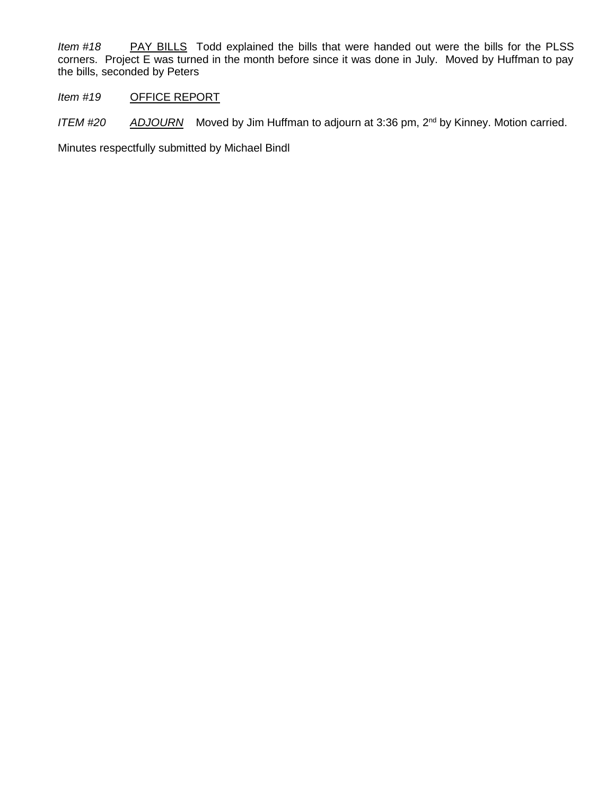*Item #18* PAY BILLS Todd explained the bills that were handed out were the bills for the PLSS corners. Project E was turned in the month before since it was done in July. Moved by Huffman to pay the bills, seconded by Peters

*Item #19* OFFICE REPORT

*ITEM #20 ADJOURN* Moved by Jim Huffman to adjourn at 3:36 pm, 2nd by Kinney. Motion carried.

Minutes respectfully submitted by Michael Bindl